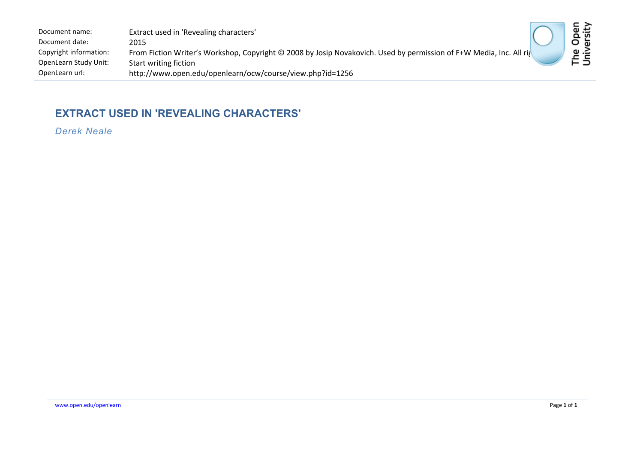| Document name:         | Extract used in 'Revealing characters'                                                                              |  | ear<br>C |
|------------------------|---------------------------------------------------------------------------------------------------------------------|--|----------|
| Document date:         | 2015                                                                                                                |  |          |
| Copyright information: | From Fiction Writer's Workshop, Copyright © 2008 by Josip Novakovich. Used by permission of F+W Media, Inc. All ris |  |          |
| OpenLearn Study Unit:  | Start writing fiction                                                                                               |  |          |
| OpenLearn url:         | http://www.open.edu/openlearn/ocw/course/view.php?id=1256                                                           |  |          |



*Derek Neale*

 $\sim$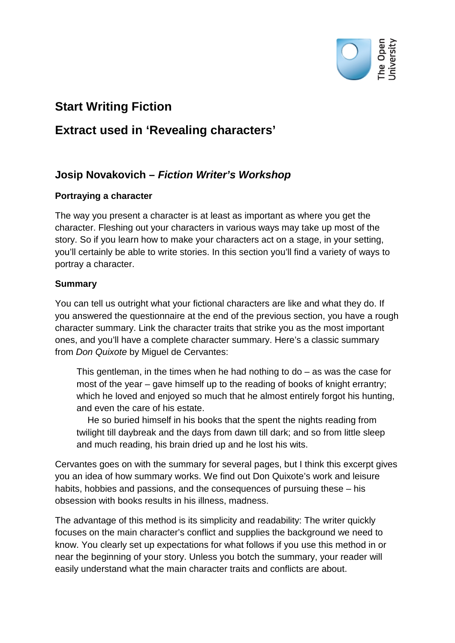

# **Start Writing Fiction**

## **Extract used in 'Revealing characters'**

## **Josip Novakovich –** *Fiction Writer's Workshop*

### **Portraying a character**

The way you present a character is at least as important as where you get the character. Fleshing out your characters in various ways may take up most of the story. So if you learn how to make your characters act on a stage, in your setting, you'll certainly be able to write stories. In this section you'll find a variety of ways to portray a character.

### **Summary**

You can tell us outright what your fictional characters are like and what they do. If you answered the questionnaire at the end of the previous section, you have a rough character summary. Link the character traits that strike you as the most important ones, and you'll have a complete character summary. Here's a classic summary from *Don Quixote* by Miguel de Cervantes:

This gentleman, in the times when he had nothing to do – as was the case for most of the year – gave himself up to the reading of books of knight errantry; which he loved and enjoyed so much that he almost entirely forgot his hunting, and even the care of his estate.

He so buried himself in his books that the spent the nights reading from twilight till daybreak and the days from dawn till dark; and so from little sleep and much reading, his brain dried up and he lost his wits.

Cervantes goes on with the summary for several pages, but I think this excerpt gives you an idea of how summary works. We find out Don Quixote's work and leisure habits, hobbies and passions, and the consequences of pursuing these – his obsession with books results in his illness, madness.

The advantage of this method is its simplicity and readability: The writer quickly focuses on the main character's conflict and supplies the background we need to know. You clearly set up expectations for what follows if you use this method in or near the beginning of your story. Unless you botch the summary, your reader will easily understand what the main character traits and conflicts are about.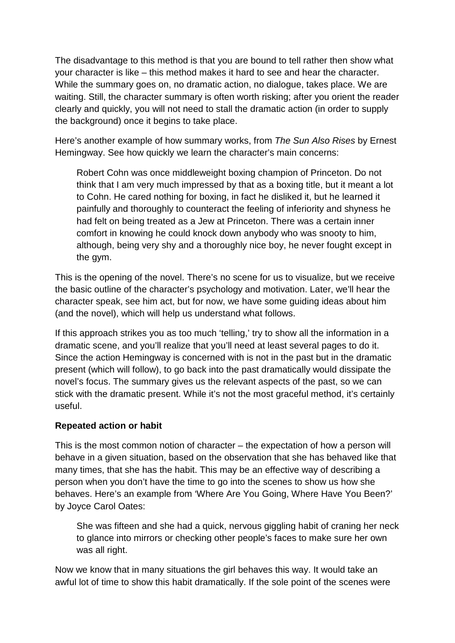The disadvantage to this method is that you are bound to tell rather then show what your character is like – this method makes it hard to see and hear the character. While the summary goes on, no dramatic action, no dialogue, takes place. We are waiting. Still, the character summary is often worth risking; after you orient the reader clearly and quickly, you will not need to stall the dramatic action (in order to supply the background) once it begins to take place.

Here's another example of how summary works, from *The Sun Also Rises* by Ernest Hemingway. See how quickly we learn the character's main concerns:

Robert Cohn was once middleweight boxing champion of Princeton. Do not think that I am very much impressed by that as a boxing title, but it meant a lot to Cohn. He cared nothing for boxing, in fact he disliked it, but he learned it painfully and thoroughly to counteract the feeling of inferiority and shyness he had felt on being treated as a Jew at Princeton. There was a certain inner comfort in knowing he could knock down anybody who was snooty to him, although, being very shy and a thoroughly nice boy, he never fought except in the gym.

This is the opening of the novel. There's no scene for us to visualize, but we receive the basic outline of the character's psychology and motivation. Later, we'll hear the character speak, see him act, but for now, we have some guiding ideas about him (and the novel), which will help us understand what follows.

If this approach strikes you as too much 'telling,' try to show all the information in a dramatic scene, and you'll realize that you'll need at least several pages to do it. Since the action Hemingway is concerned with is not in the past but in the dramatic present (which will follow), to go back into the past dramatically would dissipate the novel's focus. The summary gives us the relevant aspects of the past, so we can stick with the dramatic present. While it's not the most graceful method, it's certainly useful.

### **Repeated action or habit**

This is the most common notion of character – the expectation of how a person will behave in a given situation, based on the observation that she has behaved like that many times, that she has the habit. This may be an effective way of describing a person when you don't have the time to go into the scenes to show us how she behaves. Here's an example from 'Where Are You Going, Where Have You Been?' by Joyce Carol Oates:

She was fifteen and she had a quick, nervous giggling habit of craning her neck to glance into mirrors or checking other people's faces to make sure her own was all right.

Now we know that in many situations the girl behaves this way. It would take an awful lot of time to show this habit dramatically. If the sole point of the scenes were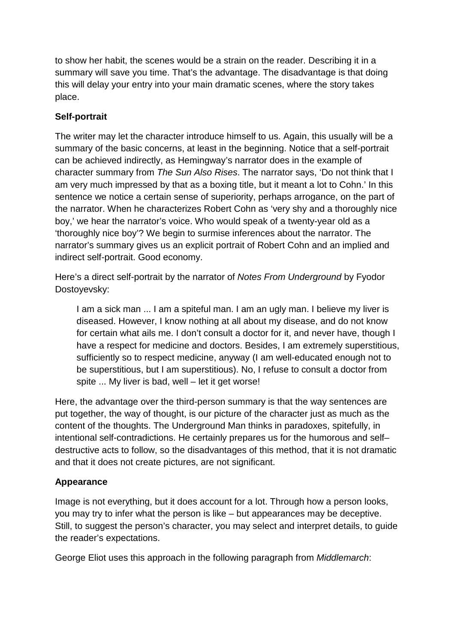to show her habit, the scenes would be a strain on the reader. Describing it in a summary will save you time. That's the advantage. The disadvantage is that doing this will delay your entry into your main dramatic scenes, where the story takes place.

### **Self-portrait**

The writer may let the character introduce himself to us. Again, this usually will be a summary of the basic concerns, at least in the beginning. Notice that a self-portrait can be achieved indirectly, as Hemingway's narrator does in the example of character summary from *The Sun Also Rises*. The narrator says, 'Do not think that I am very much impressed by that as a boxing title, but it meant a lot to Cohn.' In this sentence we notice a certain sense of superiority, perhaps arrogance, on the part of the narrator. When he characterizes Robert Cohn as 'very shy and a thoroughly nice boy,' we hear the narrator's voice. Who would speak of a twenty-year old as a 'thoroughly nice boy'? We begin to surmise inferences about the narrator. The narrator's summary gives us an explicit portrait of Robert Cohn and an implied and indirect self-portrait. Good economy.

Here's a direct self-portrait by the narrator of *Notes From Underground* by Fyodor Dostoyevsky:

I am a sick man ... I am a spiteful man. I am an ugly man. I believe my liver is diseased. However, I know nothing at all about my disease, and do not know for certain what ails me. I don't consult a doctor for it, and never have, though I have a respect for medicine and doctors. Besides, I am extremely superstitious, sufficiently so to respect medicine, anyway (I am well-educated enough not to be superstitious, but I am superstitious). No, I refuse to consult a doctor from spite ... My liver is bad, well – let it get worse!

Here, the advantage over the third-person summary is that the way sentences are put together, the way of thought, is our picture of the character just as much as the content of the thoughts. The Underground Man thinks in paradoxes, spitefully, in intentional self-contradictions. He certainly prepares us for the humorous and self– destructive acts to follow, so the disadvantages of this method, that it is not dramatic and that it does not create pictures, are not significant.

## **Appearance**

Image is not everything, but it does account for a lot. Through how a person looks, you may try to infer what the person is like – but appearances may be deceptive. Still, to suggest the person's character, you may select and interpret details, to guide the reader's expectations.

George Eliot uses this approach in the following paragraph from *Middlemarch*: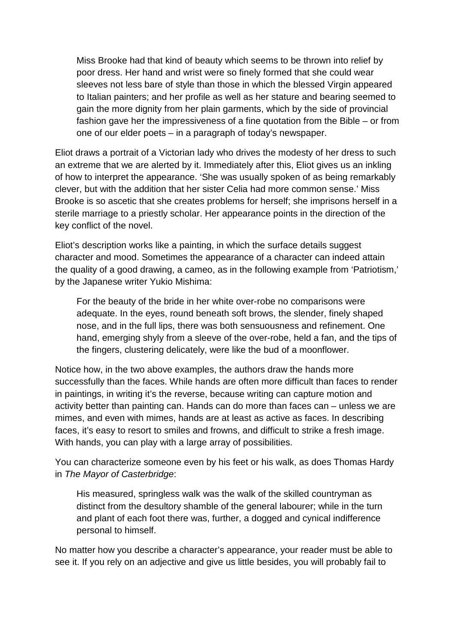Miss Brooke had that kind of beauty which seems to be thrown into relief by poor dress. Her hand and wrist were so finely formed that she could wear sleeves not less bare of style than those in which the blessed Virgin appeared to Italian painters; and her profile as well as her stature and bearing seemed to gain the more dignity from her plain garments, which by the side of provincial fashion gave her the impressiveness of a fine quotation from the Bible – or from one of our elder poets – in a paragraph of today's newspaper.

Eliot draws a portrait of a Victorian lady who drives the modesty of her dress to such an extreme that we are alerted by it. Immediately after this, Eliot gives us an inkling of how to interpret the appearance. 'She was usually spoken of as being remarkably clever, but with the addition that her sister Celia had more common sense.' Miss Brooke is so ascetic that she creates problems for herself; she imprisons herself in a sterile marriage to a priestly scholar. Her appearance points in the direction of the key conflict of the novel.

Eliot's description works like a painting, in which the surface details suggest character and mood. Sometimes the appearance of a character can indeed attain the quality of a good drawing, a cameo, as in the following example from 'Patriotism,' by the Japanese writer Yukio Mishima:

For the beauty of the bride in her white over-robe no comparisons were adequate. In the eyes, round beneath soft brows, the slender, finely shaped nose, and in the full lips, there was both sensuousness and refinement. One hand, emerging shyly from a sleeve of the over-robe, held a fan, and the tips of the fingers, clustering delicately, were like the bud of a moonflower.

Notice how, in the two above examples, the authors draw the hands more successfully than the faces. While hands are often more difficult than faces to render in paintings, in writing it's the reverse, because writing can capture motion and activity better than painting can. Hands can do more than faces can – unless we are mimes, and even with mimes, hands are at least as active as faces. In describing faces, it's easy to resort to smiles and frowns, and difficult to strike a fresh image. With hands, you can play with a large array of possibilities.

You can characterize someone even by his feet or his walk, as does Thomas Hardy in *The Mayor of Casterbridge*:

His measured, springless walk was the walk of the skilled countryman as distinct from the desultory shamble of the general labourer; while in the turn and plant of each foot there was, further, a dogged and cynical indifference personal to himself.

No matter how you describe a character's appearance, your reader must be able to see it. If you rely on an adjective and give us little besides, you will probably fail to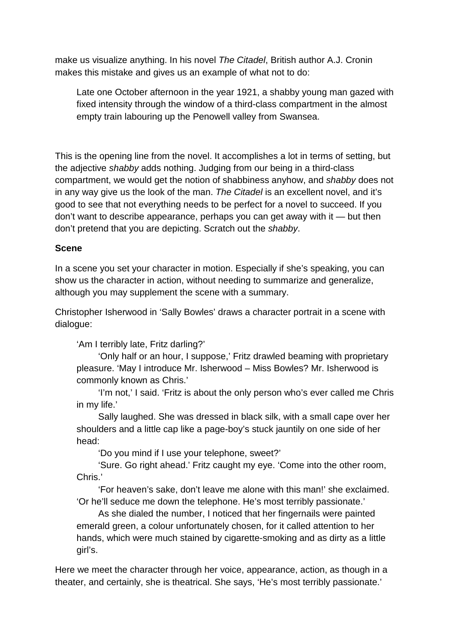make us visualize anything. In his novel *The Citadel*, British author A.J. Cronin makes this mistake and gives us an example of what not to do:

Late one October afternoon in the year 1921, a shabby young man gazed with fixed intensity through the window of a third-class compartment in the almost empty train labouring up the Penowell valley from Swansea.

This is the opening line from the novel. It accomplishes a lot in terms of setting, but the adjective *shabby* adds nothing. Judging from our being in a third-class compartment, we would get the notion of shabbiness anyhow, and *shabby* does not in any way give us the look of the man. *The Citadel* is an excellent novel, and it's good to see that not everything needs to be perfect for a novel to succeed. If you don't want to describe appearance, perhaps you can get away with it — but then don't pretend that you are depicting. Scratch out the *shabby*.

### **Scene**

In a scene you set your character in motion. Especially if she's speaking, you can show us the character in action, without needing to summarize and generalize, although you may supplement the scene with a summary.

Christopher Isherwood in 'Sally Bowles' draws a character portrait in a scene with dialogue:

'Am I terribly late, Fritz darling?'

'Only half or an hour, I suppose,' Fritz drawled beaming with proprietary pleasure. 'May I introduce Mr. Isherwood – Miss Bowles? Mr. Isherwood is commonly known as Chris.'

'I'm not,' I said. 'Fritz is about the only person who's ever called me Chris in my life.'

Sally laughed. She was dressed in black silk, with a small cape over her shoulders and a little cap like a page-boy's stuck jauntily on one side of her head:

'Do you mind if I use your telephone, sweet?'

'Sure. Go right ahead.' Fritz caught my eye. 'Come into the other room, Chris.'

'For heaven's sake, don't leave me alone with this man!' she exclaimed. 'Or he'll seduce me down the telephone. He's most terribly passionate.'

As she dialed the number, I noticed that her fingernails were painted emerald green, a colour unfortunately chosen, for it called attention to her hands, which were much stained by cigarette-smoking and as dirty as a little girl's.

Here we meet the character through her voice, appearance, action, as though in a theater, and certainly, she is theatrical. She says, 'He's most terribly passionate.'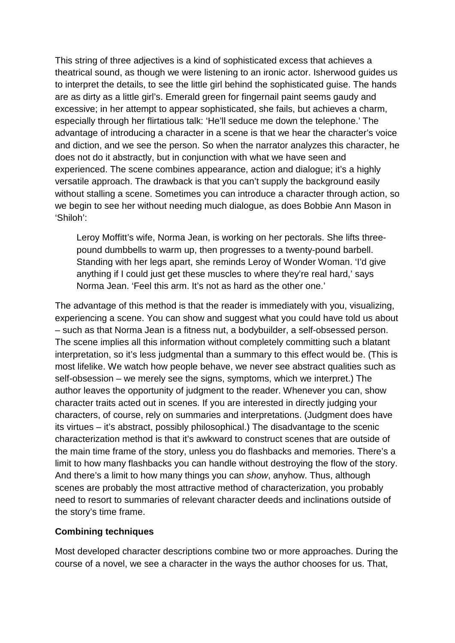This string of three adjectives is a kind of sophisticated excess that achieves a theatrical sound, as though we were listening to an ironic actor. Isherwood guides us to interpret the details, to see the little girl behind the sophisticated guise. The hands are as dirty as a little girl's. Emerald green for fingernail paint seems gaudy and excessive; in her attempt to appear sophisticated, she fails, but achieves a charm, especially through her flirtatious talk: 'He'll seduce me down the telephone.' The advantage of introducing a character in a scene is that we hear the character's voice and diction, and we see the person. So when the narrator analyzes this character, he does not do it abstractly, but in conjunction with what we have seen and experienced. The scene combines appearance, action and dialogue; it's a highly versatile approach. The drawback is that you can't supply the background easily without stalling a scene. Sometimes you can introduce a character through action, so we begin to see her without needing much dialogue, as does Bobbie Ann Mason in 'Shiloh':

Leroy Moffitt's wife, Norma Jean, is working on her pectorals. She lifts threepound dumbbells to warm up, then progresses to a twenty-pound barbell. Standing with her legs apart, she reminds Leroy of Wonder Woman. 'I'd give anything if I could just get these muscles to where they're real hard,' says Norma Jean. 'Feel this arm. It's not as hard as the other one.'

The advantage of this method is that the reader is immediately with you, visualizing, experiencing a scene. You can show and suggest what you could have told us about – such as that Norma Jean is a fitness nut, a bodybuilder, a self-obsessed person. The scene implies all this information without completely committing such a blatant interpretation, so it's less judgmental than a summary to this effect would be. (This is most lifelike. We watch how people behave, we never see abstract qualities such as self-obsession – we merely see the signs, symptoms, which we interpret.) The author leaves the opportunity of judgment to the reader. Whenever you can, show character traits acted out in scenes. If you are interested in directly judging your characters, of course, rely on summaries and interpretations. (Judgment does have its virtues – it's abstract, possibly philosophical.) The disadvantage to the scenic characterization method is that it's awkward to construct scenes that are outside of the main time frame of the story, unless you do flashbacks and memories. There's a limit to how many flashbacks you can handle without destroying the flow of the story. And there's a limit to how many things you can *show*, anyhow. Thus, although scenes are probably the most attractive method of characterization, you probably need to resort to summaries of relevant character deeds and inclinations outside of the story's time frame.

#### **Combining techniques**

Most developed character descriptions combine two or more approaches. During the course of a novel, we see a character in the ways the author chooses for us. That,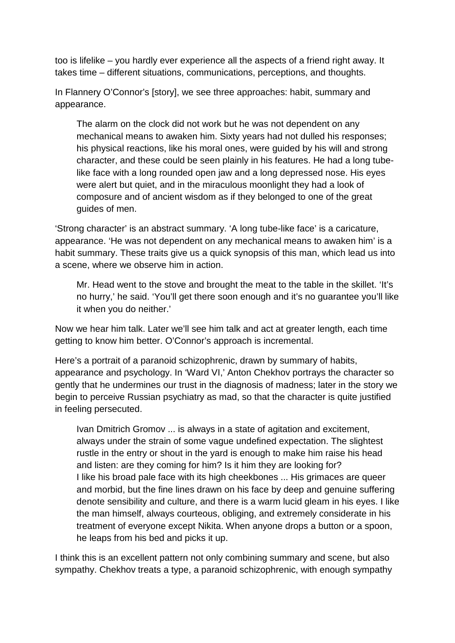too is lifelike – you hardly ever experience all the aspects of a friend right away. It takes time – different situations, communications, perceptions, and thoughts.

In Flannery O'Connor's [story], we see three approaches: habit, summary and appearance.

The alarm on the clock did not work but he was not dependent on any mechanical means to awaken him. Sixty years had not dulled his responses; his physical reactions, like his moral ones, were guided by his will and strong character, and these could be seen plainly in his features. He had a long tubelike face with a long rounded open jaw and a long depressed nose. His eyes were alert but quiet, and in the miraculous moonlight they had a look of composure and of ancient wisdom as if they belonged to one of the great guides of men.

'Strong character' is an abstract summary. 'A long tube-like face' is a caricature, appearance. 'He was not dependent on any mechanical means to awaken him' is a habit summary. These traits give us a quick synopsis of this man, which lead us into a scene, where we observe him in action.

Mr. Head went to the stove and brought the meat to the table in the skillet. 'It's no hurry,' he said. 'You'll get there soon enough and it's no guarantee you'll like it when you do neither.'

Now we hear him talk. Later we'll see him talk and act at greater length, each time getting to know him better. O'Connor's approach is incremental.

Here's a portrait of a paranoid schizophrenic, drawn by summary of habits, appearance and psychology. In 'Ward VI,' Anton Chekhov portrays the character so gently that he undermines our trust in the diagnosis of madness; later in the story we begin to perceive Russian psychiatry as mad, so that the character is quite justified in feeling persecuted.

Ivan Dmitrich Gromov ... is always in a state of agitation and excitement, always under the strain of some vague undefined expectation. The slightest rustle in the entry or shout in the yard is enough to make him raise his head and listen: are they coming for him? Is it him they are looking for? I like his broad pale face with its high cheekbones ... His grimaces are queer and morbid, but the fine lines drawn on his face by deep and genuine suffering denote sensibility and culture, and there is a warm lucid gleam in his eyes. I like the man himself, always courteous, obliging, and extremely considerate in his treatment of everyone except Nikita. When anyone drops a button or a spoon, he leaps from his bed and picks it up.

I think this is an excellent pattern not only combining summary and scene, but also sympathy. Chekhov treats a type, a paranoid schizophrenic, with enough sympathy